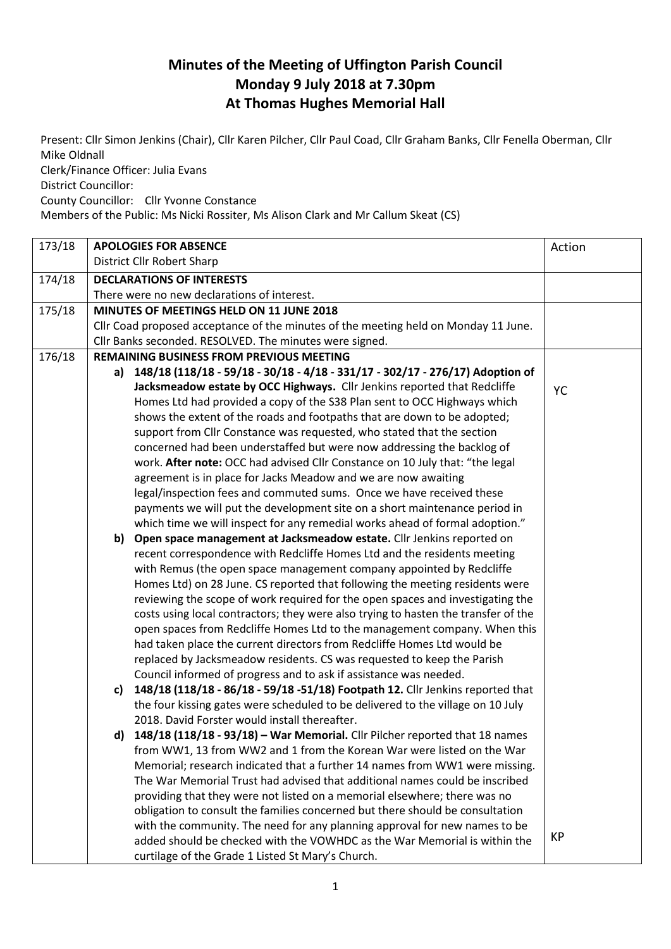## **Minutes of the Meeting of Uffington Parish Council Monday 9 July 2018 at 7.30pm At Thomas Hughes Memorial Hall**

Present: Cllr Simon Jenkins (Chair), Cllr Karen Pilcher, Cllr Paul Coad, Cllr Graham Banks, Cllr Fenella Oberman, Cllr Mike Oldnall

Clerk/Finance Officer: Julia Evans

District Councillor:

County Councillor: Cllr Yvonne Constance

Members of the Public: Ms Nicki Rossiter, Ms Alison Clark and Mr Callum Skeat (CS)

| 173/18 |                                                 | <b>APOLOGIES FOR ABSENCE</b>                                                        | Action |
|--------|-------------------------------------------------|-------------------------------------------------------------------------------------|--------|
|        |                                                 | District Cllr Robert Sharp                                                          |        |
| 174/18 |                                                 | <b>DECLARATIONS OF INTERESTS</b>                                                    |        |
|        |                                                 | There were no new declarations of interest.                                         |        |
| 175/18 |                                                 | MINUTES OF MEETINGS HELD ON 11 JUNE 2018                                            |        |
|        |                                                 | Cllr Coad proposed acceptance of the minutes of the meeting held on Monday 11 June. |        |
|        |                                                 | Cllr Banks seconded. RESOLVED. The minutes were signed.                             |        |
| 176/18 | <b>REMAINING BUSINESS FROM PREVIOUS MEETING</b> |                                                                                     |        |
|        |                                                 | a) 148/18 (118/18 - 59/18 - 30/18 - 4/18 - 331/17 - 302/17 - 276/17) Adoption of    |        |
|        |                                                 | Jacksmeadow estate by OCC Highways. Cllr Jenkins reported that Redcliffe            | YC     |
|        |                                                 | Homes Ltd had provided a copy of the S38 Plan sent to OCC Highways which            |        |
|        |                                                 | shows the extent of the roads and footpaths that are down to be adopted;            |        |
|        |                                                 | support from Cllr Constance was requested, who stated that the section              |        |
|        |                                                 | concerned had been understaffed but were now addressing the backlog of              |        |
|        |                                                 | work. After note: OCC had advised Cllr Constance on 10 July that: "the legal        |        |
|        |                                                 | agreement is in place for Jacks Meadow and we are now awaiting                      |        |
|        |                                                 | legal/inspection fees and commuted sums. Once we have received these                |        |
|        |                                                 | payments we will put the development site on a short maintenance period in          |        |
|        |                                                 | which time we will inspect for any remedial works ahead of formal adoption."        |        |
|        | b)                                              | Open space management at Jacksmeadow estate. Cllr Jenkins reported on               |        |
|        |                                                 | recent correspondence with Redcliffe Homes Ltd and the residents meeting            |        |
|        |                                                 | with Remus (the open space management company appointed by Redcliffe                |        |
|        |                                                 | Homes Ltd) on 28 June. CS reported that following the meeting residents were        |        |
|        |                                                 | reviewing the scope of work required for the open spaces and investigating the      |        |
|        |                                                 | costs using local contractors; they were also trying to hasten the transfer of the  |        |
|        |                                                 | open spaces from Redcliffe Homes Ltd to the management company. When this           |        |
|        |                                                 | had taken place the current directors from Redcliffe Homes Ltd would be             |        |
|        |                                                 | replaced by Jacksmeadow residents. CS was requested to keep the Parish              |        |
|        |                                                 | Council informed of progress and to ask if assistance was needed.                   |        |
|        | c)                                              | 148/18 (118/18 - 86/18 - 59/18 - 51/18) Footpath 12. Cllr Jenkins reported that     |        |
|        |                                                 | the four kissing gates were scheduled to be delivered to the village on 10 July     |        |
|        |                                                 | 2018. David Forster would install thereafter.                                       |        |
|        |                                                 | d) $148/18$ (118/18 - 93/18) - War Memorial. Cllr Pilcher reported that 18 names    |        |
|        |                                                 | from WW1, 13 from WW2 and 1 from the Korean War were listed on the War              |        |
|        |                                                 | Memorial; research indicated that a further 14 names from WW1 were missing.         |        |
|        |                                                 | The War Memorial Trust had advised that additional names could be inscribed         |        |
|        |                                                 | providing that they were not listed on a memorial elsewhere; there was no           |        |
|        |                                                 | obligation to consult the families concerned but there should be consultation       |        |
|        |                                                 | with the community. The need for any planning approval for new names to be          | KP     |
|        |                                                 | added should be checked with the VOWHDC as the War Memorial is within the           |        |
|        |                                                 | curtilage of the Grade 1 Listed St Mary's Church.                                   |        |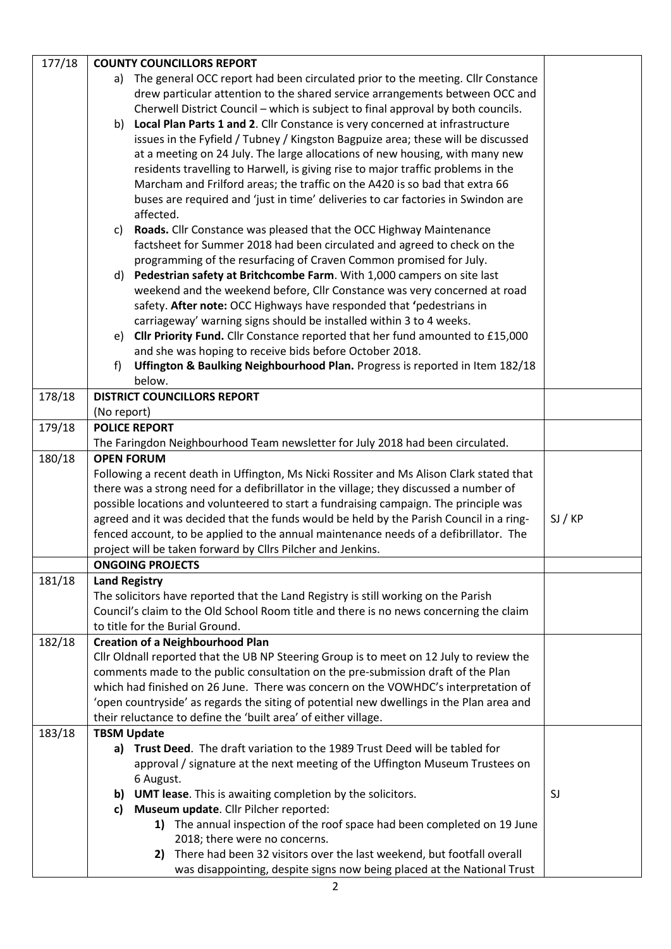| 177/18 | <b>COUNTY COUNCILLORS REPORT</b>                                                                                          |         |
|--------|---------------------------------------------------------------------------------------------------------------------------|---------|
|        | The general OCC report had been circulated prior to the meeting. Cllr Constance<br>a)                                     |         |
|        | drew particular attention to the shared service arrangements between OCC and                                              |         |
|        | Cherwell District Council - which is subject to final approval by both councils.                                          |         |
|        | b) Local Plan Parts 1 and 2. Cllr Constance is very concerned at infrastructure                                           |         |
|        | issues in the Fyfield / Tubney / Kingston Bagpuize area; these will be discussed                                          |         |
|        | at a meeting on 24 July. The large allocations of new housing, with many new                                              |         |
|        | residents travelling to Harwell, is giving rise to major traffic problems in the                                          |         |
|        | Marcham and Frilford areas; the traffic on the A420 is so bad that extra 66                                               |         |
|        | buses are required and 'just in time' deliveries to car factories in Swindon are                                          |         |
|        | affected.                                                                                                                 |         |
|        | Roads. Cllr Constance was pleased that the OCC Highway Maintenance<br>C)                                                  |         |
|        | factsheet for Summer 2018 had been circulated and agreed to check on the                                                  |         |
|        | programming of the resurfacing of Craven Common promised for July.                                                        |         |
|        | Pedestrian safety at Britchcombe Farm. With 1,000 campers on site last<br>d)                                              |         |
|        | weekend and the weekend before, Cllr Constance was very concerned at road                                                 |         |
|        | safety. After note: OCC Highways have responded that 'pedestrians in                                                      |         |
|        | carriageway' warning signs should be installed within 3 to 4 weeks.                                                       |         |
|        | Cllr Priority Fund. Cllr Constance reported that her fund amounted to £15,000<br>e)                                       |         |
|        | and she was hoping to receive bids before October 2018.                                                                   |         |
|        | Uffington & Baulking Neighbourhood Plan. Progress is reported in Item 182/18<br>f)                                        |         |
|        | below.                                                                                                                    |         |
| 178/18 | <b>DISTRICT COUNCILLORS REPORT</b>                                                                                        |         |
|        | (No report)                                                                                                               |         |
| 179/18 | <b>POLICE REPORT</b>                                                                                                      |         |
|        | The Faringdon Neighbourhood Team newsletter for July 2018 had been circulated.                                            |         |
| 180/18 | <b>OPEN FORUM</b>                                                                                                         |         |
|        | Following a recent death in Uffington, Ms Nicki Rossiter and Ms Alison Clark stated that                                  |         |
|        | there was a strong need for a defibrillator in the village; they discussed a number of                                    |         |
|        | possible locations and volunteered to start a fundraising campaign. The principle was                                     |         |
|        | agreed and it was decided that the funds would be held by the Parish Council in a ring-                                   | SI / KP |
|        | fenced account, to be applied to the annual maintenance needs of a defibrillator. The                                     |         |
|        | project will be taken forward by Cllrs Pilcher and Jenkins.                                                               |         |
|        | <b>ONGOING PROJECTS</b>                                                                                                   |         |
| 181/18 | <b>Land Registry</b>                                                                                                      |         |
|        | The solicitors have reported that the Land Registry is still working on the Parish                                        |         |
|        | Council's claim to the Old School Room title and there is no news concerning the claim<br>to title for the Burial Ground. |         |
| 182/18 | <b>Creation of a Neighbourhood Plan</b>                                                                                   |         |
|        | Cllr Oldnall reported that the UB NP Steering Group is to meet on 12 July to review the                                   |         |
|        | comments made to the public consultation on the pre-submission draft of the Plan                                          |         |
|        | which had finished on 26 June. There was concern on the VOWHDC's interpretation of                                        |         |
|        | 'open countryside' as regards the siting of potential new dwellings in the Plan area and                                  |         |
|        | their reluctance to define the 'built area' of either village.                                                            |         |
| 183/18 | <b>TBSM Update</b>                                                                                                        |         |
|        | Trust Deed. The draft variation to the 1989 Trust Deed will be tabled for<br>a)                                           |         |
|        | approval / signature at the next meeting of the Uffington Museum Trustees on                                              |         |
|        | 6 August.                                                                                                                 |         |
|        | b) UMT lease. This is awaiting completion by the solicitors.                                                              | SJ      |
|        | Museum update. Cllr Pilcher reported:<br>c)                                                                               |         |
|        | 1) The annual inspection of the roof space had been completed on 19 June                                                  |         |
|        | 2018; there were no concerns.                                                                                             |         |
|        | There had been 32 visitors over the last weekend, but footfall overall<br>2)                                              |         |
|        | was disappointing, despite signs now being placed at the National Trust                                                   |         |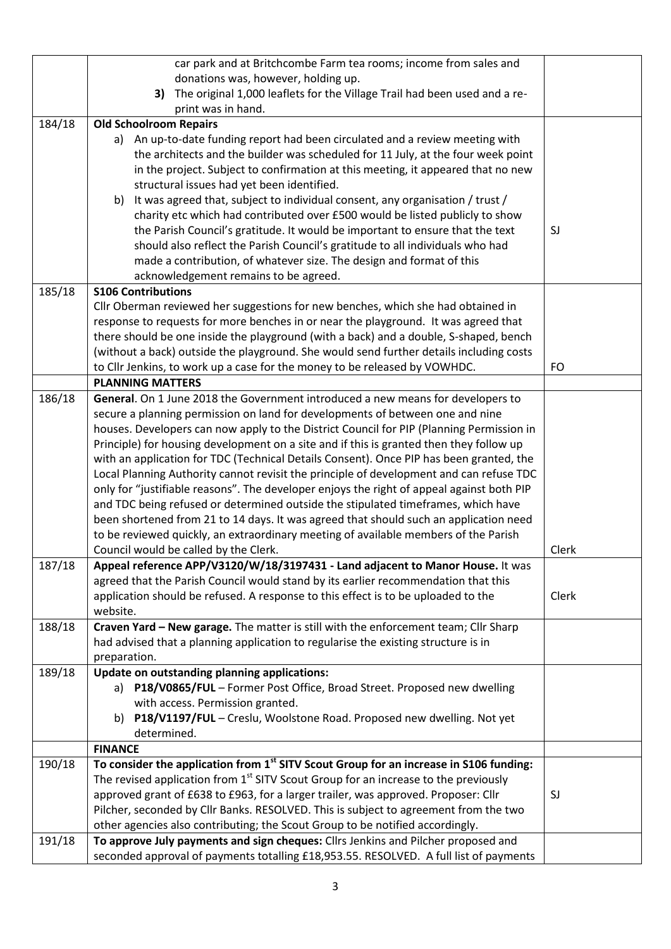|        | car park and at Britchcombe Farm tea rooms; income from sales and                                  |       |
|--------|----------------------------------------------------------------------------------------------------|-------|
|        | donations was, however, holding up.                                                                |       |
|        | The original 1,000 leaflets for the Village Trail had been used and a re-<br>3)                    |       |
|        | print was in hand.                                                                                 |       |
| 184/18 | <b>Old Schoolroom Repairs</b>                                                                      |       |
|        | a) An up-to-date funding report had been circulated and a review meeting with                      |       |
|        | the architects and the builder was scheduled for 11 July, at the four week point                   |       |
|        | in the project. Subject to confirmation at this meeting, it appeared that no new                   |       |
|        | structural issues had yet been identified.                                                         |       |
|        | It was agreed that, subject to individual consent, any organisation / trust /<br>b)                |       |
|        | charity etc which had contributed over £500 would be listed publicly to show                       |       |
|        | the Parish Council's gratitude. It would be important to ensure that the text                      | SJ    |
|        | should also reflect the Parish Council's gratitude to all individuals who had                      |       |
|        | made a contribution, of whatever size. The design and format of this                               |       |
|        | acknowledgement remains to be agreed.                                                              |       |
| 185/18 | <b>S106 Contributions</b>                                                                          |       |
|        | Cllr Oberman reviewed her suggestions for new benches, which she had obtained in                   |       |
|        | response to requests for more benches in or near the playground. It was agreed that                |       |
|        | there should be one inside the playground (with a back) and a double, S-shaped, bench              |       |
|        | (without a back) outside the playground. She would send further details including costs            |       |
|        | to Cllr Jenkins, to work up a case for the money to be released by VOWHDC.                         | FO    |
|        | <b>PLANNING MATTERS</b>                                                                            |       |
| 186/18 | General. On 1 June 2018 the Government introduced a new means for developers to                    |       |
|        | secure a planning permission on land for developments of between one and nine                      |       |
|        | houses. Developers can now apply to the District Council for PIP (Planning Permission in           |       |
|        | Principle) for housing development on a site and if this is granted then they follow up            |       |
|        | with an application for TDC (Technical Details Consent). Once PIP has been granted, the            |       |
|        | Local Planning Authority cannot revisit the principle of development and can refuse TDC            |       |
|        | only for "justifiable reasons". The developer enjoys the right of appeal against both PIP          |       |
|        | and TDC being refused or determined outside the stipulated timeframes, which have                  |       |
|        | been shortened from 21 to 14 days. It was agreed that should such an application need              |       |
|        | to be reviewed quickly, an extraordinary meeting of available members of the Parish                |       |
|        | Council would be called by the Clerk.                                                              | Clerk |
| 187/18 | Appeal reference APP/V3120/W/18/3197431 - Land adjacent to Manor House. It was                     |       |
|        | agreed that the Parish Council would stand by its earlier recommendation that this                 |       |
|        | application should be refused. A response to this effect is to be uploaded to the                  | Clerk |
|        | website.                                                                                           |       |
| 188/18 | Craven Yard - New garage. The matter is still with the enforcement team; Cllr Sharp                |       |
|        | had advised that a planning application to regularise the existing structure is in                 |       |
|        | preparation.                                                                                       |       |
| 189/18 | Update on outstanding planning applications:                                                       |       |
|        | a) P18/V0865/FUL - Former Post Office, Broad Street. Proposed new dwelling                         |       |
|        | with access. Permission granted.                                                                   |       |
|        | P18/V1197/FUL - Creslu, Woolstone Road. Proposed new dwelling. Not yet<br>b)                       |       |
|        | determined.                                                                                        |       |
|        | <b>FINANCE</b>                                                                                     |       |
| 190/18 | To consider the application from 1 <sup>st</sup> SITV Scout Group for an increase in S106 funding: |       |
|        | The revised application from 1 <sup>st</sup> SITV Scout Group for an increase to the previously    |       |
|        | approved grant of £638 to £963, for a larger trailer, was approved. Proposer: Cllr                 | SJ    |
|        | Pilcher, seconded by Cllr Banks. RESOLVED. This is subject to agreement from the two               |       |
|        | other agencies also contributing; the Scout Group to be notified accordingly.                      |       |
| 191/18 | To approve July payments and sign cheques: Cllrs Jenkins and Pilcher proposed and                  |       |
|        | seconded approval of payments totalling £18,953.55. RESOLVED. A full list of payments              |       |